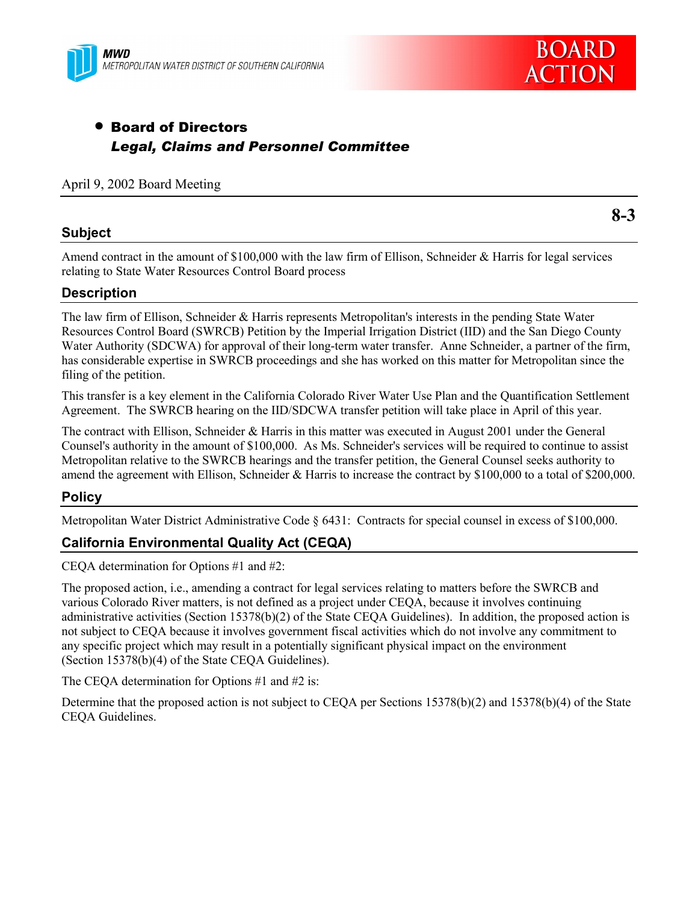



**8-3**

# • Board of Directors *Legal, Claims and Personnel Committee*

#### April 9, 2002 Board Meeting

### **Subject**

Amend contract in the amount of \$100,000 with the law firm of Ellison, Schneider & Harris for legal services relating to State Water Resources Control Board process

## **Description**

The law firm of Ellison, Schneider & Harris represents Metropolitan's interests in the pending State Water Resources Control Board (SWRCB) Petition by the Imperial Irrigation District (IID) and the San Diego County Water Authority (SDCWA) for approval of their long-term water transfer. Anne Schneider, a partner of the firm, has considerable expertise in SWRCB proceedings and she has worked on this matter for Metropolitan since the filing of the petition.

This transfer is a key element in the California Colorado River Water Use Plan and the Quantification Settlement Agreement. The SWRCB hearing on the IID/SDCWA transfer petition will take place in April of this year.

The contract with Ellison, Schneider & Harris in this matter was executed in August 2001 under the General Counsel's authority in the amount of \$100,000. As Ms. Schneider's services will be required to continue to assist Metropolitan relative to the SWRCB hearings and the transfer petition, the General Counsel seeks authority to amend the agreement with Ellison, Schneider & Harris to increase the contract by \$100,000 to a total of \$200,000.

### **Policy**

Metropolitan Water District Administrative Code ß 6431: Contracts for special counsel in excess of \$100,000.

### **California Environmental Quality Act (CEQA)**

CEQA determination for Options #1 and #2:

The proposed action, i.e., amending a contract for legal services relating to matters before the SWRCB and various Colorado River matters, is not defined as a project under CEQA, because it involves continuing administrative activities (Section 15378(b)(2) of the State CEQA Guidelines). In addition, the proposed action is not subject to CEQA because it involves government fiscal activities which do not involve any commitment to any specific project which may result in a potentially significant physical impact on the environment (Section 15378(b)(4) of the State CEQA Guidelines).

The CEQA determination for Options #1 and #2 is:

Determine that the proposed action is not subject to CEQA per Sections 15378(b)(2) and 15378(b)(4) of the State CEQA Guidelines.